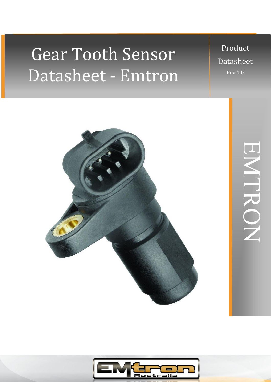# Datasheet - Emtron Gear Tooth Sensor

Product Datasheet Rev 1.0





EMTRON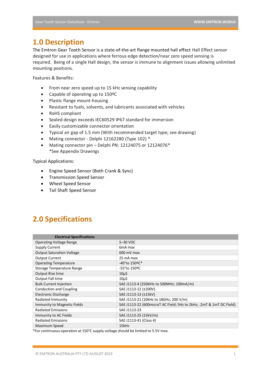# **1.0 Description**

The Emtron Gear Tooth Sensor is a state-of-the-art flange mounted hall effect Hall Effect sensor designed for use in applications where ferrous edge detection/near zero speed sensing is required. Being of a single Hall design, the sensor is immune to alignment issues allowing unlimited mounting positions.

Features & Benefits:

- From near zero speed up to 15 kHz sensing capability
- Capable of operating up to 150ºC
- Plastic flange mount-housing
- Resistant to fuels, solvents, and lubricants associated with vehicles
- RoHS compliant
- Sealed design exceeds IEC60529 IP67 standard for immersion
- Easily customizable connector orientation
- Typical air gap of 1.5 mm (With recommended target type; see drawing)
- Mating connector Delphi 12162280 (Type 102) \*
- Mating connector pin Delphi PN: 12124075 or 12124076\* \*See Appendix Drawings

Typical Applications:

- Engine Speed Sensor (Both Crank & Sync)
- Transmission Speed Sensor
- Wheel Speed Sensor
- Tail Shaft Speed Sensor

# **2.0 Specifications**

| <b>Electrical Specifications</b> |                                                                           |  |
|----------------------------------|---------------------------------------------------------------------------|--|
| <b>Operating Voltage Range</b>   | 5-30 VDC                                                                  |  |
| Supply Current                   | 6 <sub>m</sub> A max                                                      |  |
| <b>Output Saturation Voltage</b> | $600 \text{ mV}$ max                                                      |  |
| <b>Output Current</b>            | 25 mA max                                                                 |  |
| <b>Operating Temperature</b>     | -40°to 150ºC*                                                             |  |
| Storage Temperature Range        | -55°to 150ºC                                                              |  |
| Output Rise time                 | $10\mu$ S                                                                 |  |
| Output Fall time                 | $10\mu S$                                                                 |  |
| <b>Bulk Current Injection</b>    | SAE J1113-4 (250klHz to 500MHz; 100mA/m)                                  |  |
| <b>Conduction and Coupling</b>   | SAE J1113-12 (±200V)                                                      |  |
| Electronic Discharge             | SAE J1113-13 (±15kV)                                                      |  |
| Radiated Immunity                | SAE J1113-21 (10kHz to 18GHz; 200 V/m)                                    |  |
| Immunity to Magnetic Fields      | SAE J1113-22 (600 micro T AC Field; 5Hz to 2kHz; .2 m T & 1 m T DC Field) |  |
| <b>Radiated Emissions</b>        | SAE J1113-23                                                              |  |
| Immunity to AC Fields            | SAE J1113-25 (15kV/m)                                                     |  |
| <b>Radiated Emissions</b>        | SAE J1113-41 (Class 4)                                                    |  |
| Maximum Speed                    | 15kHz                                                                     |  |

\*For continuous operation at 150°C supply voltage should be limited to 5.5V max.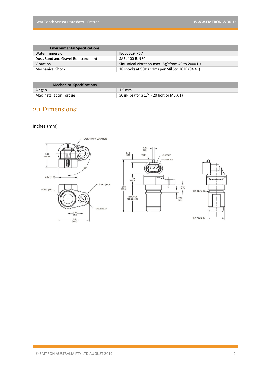| <b>Environmental Specifications</b> |                                                   |
|-------------------------------------|---------------------------------------------------|
| Water Immersion                     | IEC60529 IP67                                     |
| Dust, Sand and Gravel Bombardment   | SAE J400 JUN80                                    |
| Vibration                           | Sinusoidal vibration max 15g's from 40 to 2000 Hz |
| Mechanical Shock                    | 18 shocks at 50g's 11ms per Mil Std 202F (94.4C)  |

| <b>Mechanical Specifications</b> |                                           |
|----------------------------------|-------------------------------------------|
| Air gap                          | $1.5 \text{ mm}$                          |
| Max Installation Torque          | 50 in-lbs (for a 1/4 - 20 bolt or M6 X 1) |

# 2.1 Dimensions:

#### Inches (mm)

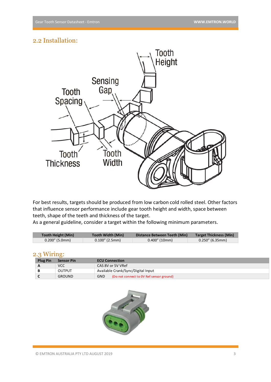### 2.2 Installation:



For best results, targets should be produced from low carbon cold rolled steel. Other factors that influence sensor performance include gear tooth height and width, space between teeth, shape of the teeth and thickness of the target.

As a general guideline, consider a target within the following minimum parameters.

| <b>Tooth Height (Min)</b> | Tooth Width (Min) | Distance Between Teeth (Min) | <b>Target Thickness (Min)</b> |
|---------------------------|-------------------|------------------------------|-------------------------------|
| $0.200''$ (5.0mm)         | $0.100''$ (2.5mm) | $0.400''$ (10mm)             | $0.250''$ (6.35mm)            |

#### 2.3 Wiring:

| <b>Plug Pin</b> | <b>Sensor Pin</b> | <b>ECU Connection</b>                                  |
|-----------------|-------------------|--------------------------------------------------------|
| $\mathbf{A}$    | <b>VCC</b>        | CAS 8V or 5V VRef                                      |
|                 | <b>OUTPUT</b>     | Available Crank/Sync/Digital Input                     |
|                 | <b>GROUND</b>     | <b>GND</b><br>(Do not connect to OV Ref sensor ground) |

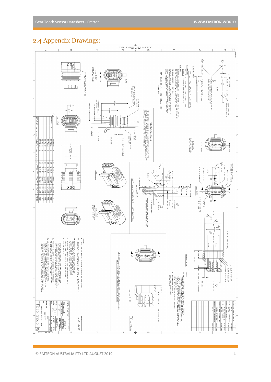## 2.4 Appendix Drawings:

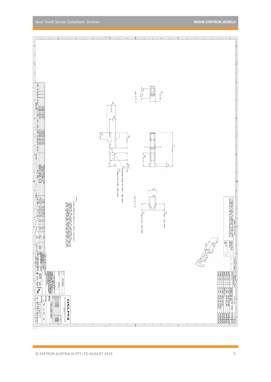